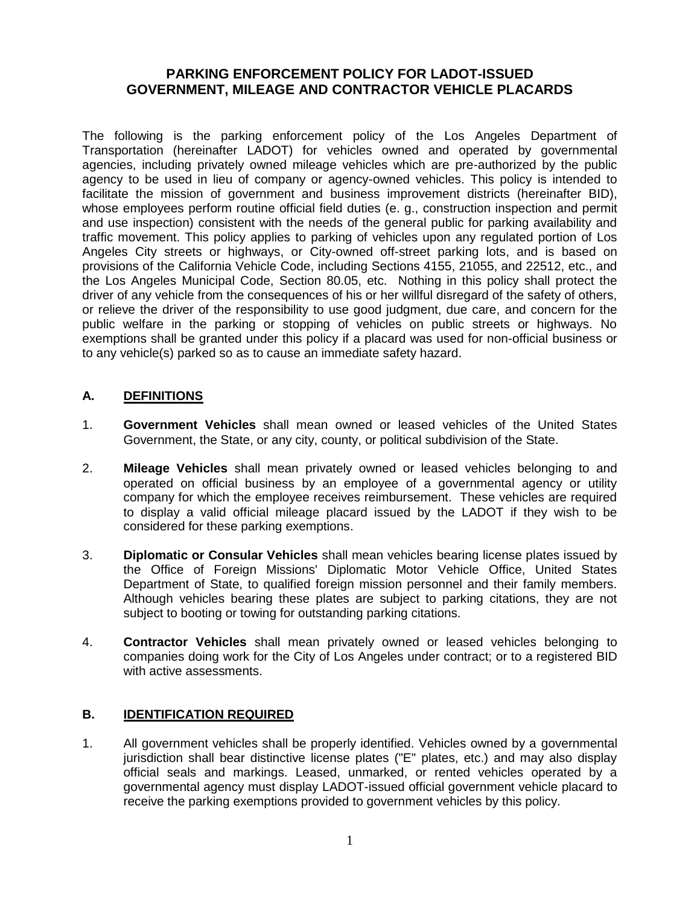## **PARKING ENFORCEMENT POLICY FOR LADOT-ISSUED GOVERNMENT, MILEAGE AND CONTRACTOR VEHICLE PLACARDS**

The following is the parking enforcement policy of the Los Angeles Department of Transportation (hereinafter LADOT) for vehicles owned and operated by governmental agencies, including privately owned mileage vehicles which are pre-authorized by the public agency to be used in lieu of company or agency-owned vehicles. This policy is intended to facilitate the mission of government and business improvement districts (hereinafter BID), whose employees perform routine official field duties (e. g., construction inspection and permit and use inspection) consistent with the needs of the general public for parking availability and traffic movement. This policy applies to parking of vehicles upon any regulated portion of Los Angeles City streets or highways, or City-owned off-street parking lots, and is based on provisions of the California Vehicle Code, including Sections 4155, 21055, and 22512, etc., and the Los Angeles Municipal Code, Section 80.05, etc. Nothing in this policy shall protect the driver of any vehicle from the consequences of his or her willful disregard of the safety of others, or relieve the driver of the responsibility to use good judgment, due care, and concern for the public welfare in the parking or stopping of vehicles on public streets or highways. No exemptions shall be granted under this policy if a placard was used for non-official business or to any vehicle(s) parked so as to cause an immediate safety hazard.

# **A. DEFINITIONS**

- 1. **Government Vehicles** shall mean owned or leased vehicles of the United States Government, the State, or any city, county, or political subdivision of the State.
- 2. **Mileage Vehicles** shall mean privately owned or leased vehicles belonging to and operated on official business by an employee of a governmental agency or utility company for which the employee receives reimbursement. These vehicles are required to display a valid official mileage placard issued by the LADOT if they wish to be considered for these parking exemptions.
- 3. **Diplomatic or Consular Vehicles** shall mean vehicles bearing license plates issued by the Office of Foreign Missions' Diplomatic Motor Vehicle Office, United States Department of State, to qualified foreign mission personnel and their family members. Although vehicles bearing these plates are subject to parking citations, they are not subject to booting or towing for outstanding parking citations.
- 4. **Contractor Vehicles** shall mean privately owned or leased vehicles belonging to companies doing work for the City of Los Angeles under contract; or to a registered BID with active assessments.

### **B. IDENTIFICATION REQUIRED**

1. All government vehicles shall be properly identified. Vehicles owned by a governmental jurisdiction shall bear distinctive license plates ("E" plates, etc.) and may also display official seals and markings. Leased, unmarked, or rented vehicles operated by a governmental agency must display LADOT-issued official government vehicle placard to receive the parking exemptions provided to government vehicles by this policy.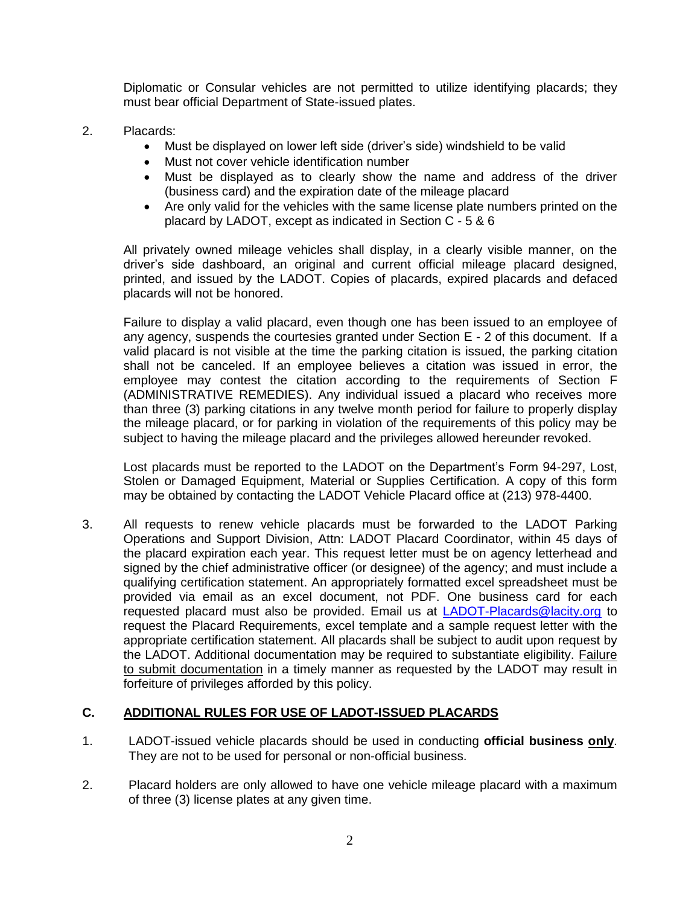Diplomatic or Consular vehicles are not permitted to utilize identifying placards; they must bear official Department of State-issued plates.

- 2. Placards:
	- Must be displayed on lower left side (driver's side) windshield to be valid
	- Must not cover vehicle identification number
	- Must be displayed as to clearly show the name and address of the driver (business card) and the expiration date of the mileage placard
	- Are only valid for the vehicles with the same license plate numbers printed on the placard by LADOT, except as indicated in Section C - 5 & 6

All privately owned mileage vehicles shall display, in a clearly visible manner, on the driver's side dashboard, an original and current official mileage placard designed, printed, and issued by the LADOT. Copies of placards, expired placards and defaced placards will not be honored.

Failure to display a valid placard, even though one has been issued to an employee of any agency, suspends the courtesies granted under Section E - 2 of this document. If a valid placard is not visible at the time the parking citation is issued, the parking citation shall not be canceled. If an employee believes a citation was issued in error, the employee may contest the citation according to the requirements of Section F (ADMINISTRATIVE REMEDIES). Any individual issued a placard who receives more than three (3) parking citations in any twelve month period for failure to properly display the mileage placard, or for parking in violation of the requirements of this policy may be subject to having the mileage placard and the privileges allowed hereunder revoked.

Lost placards must be reported to the LADOT on the Department's Form 94-297, Lost, Stolen or Damaged Equipment, Material or Supplies Certification. A copy of this form may be obtained by contacting the LADOT Vehicle Placard office at (213) 978-4400.

3. All requests to renew vehicle placards must be forwarded to the LADOT Parking Operations and Support Division, Attn: LADOT Placard Coordinator, within 45 days of the placard expiration each year. This request letter must be on agency letterhead and signed by the chief administrative officer (or designee) of the agency; and must include a qualifying certification statement. An appropriately formatted excel spreadsheet must be provided via email as an excel document, not PDF. One business card for each requested placard must also be provided. Email us at [LADOT-Placards@lacity.org](mailto:LADOT-Placards@lacity.org) to request the Placard Requirements, excel template and a sample request letter with the appropriate certification statement. All placards shall be subject to audit upon request by the LADOT. Additional documentation may be required to substantiate eligibility. Failure to submit documentation in a timely manner as requested by the LADOT may result in forfeiture of privileges afforded by this policy.

### **C. ADDITIONAL RULES FOR USE OF LADOT-ISSUED PLACARDS**

- 1. LADOT-issued vehicle placards should be used in conducting **official business only**. They are not to be used for personal or non-official business.
- 2. Placard holders are only allowed to have one vehicle mileage placard with a maximum of three (3) license plates at any given time.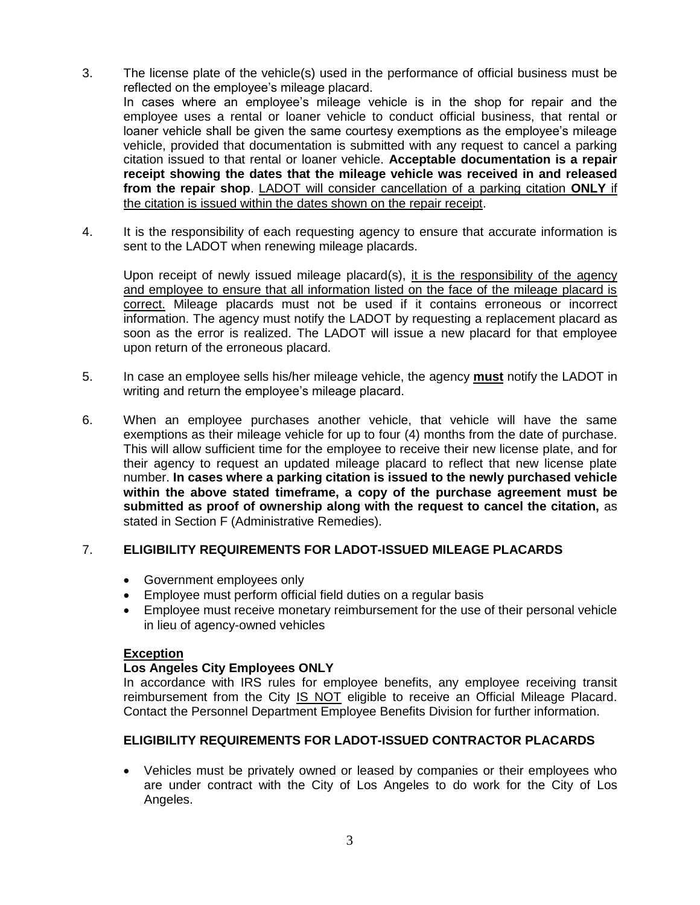- 3. The license plate of the vehicle(s) used in the performance of official business must be reflected on the employee's mileage placard. In cases where an employee's mileage vehicle is in the shop for repair and the employee uses a rental or loaner vehicle to conduct official business, that rental or loaner vehicle shall be given the same courtesy exemptions as the employee's mileage vehicle, provided that documentation is submitted with any request to cancel a parking citation issued to that rental or loaner vehicle. **Acceptable documentation is a repair receipt showing the dates that the mileage vehicle was received in and released from the repair shop**. LADOT will consider cancellation of a parking citation **ONLY** if the citation is issued within the dates shown on the repair receipt.
- 4. It is the responsibility of each requesting agency to ensure that accurate information is sent to the LADOT when renewing mileage placards.

Upon receipt of newly issued mileage placard(s), it is the responsibility of the agency and employee to ensure that all information listed on the face of the mileage placard is correct. Mileage placards must not be used if it contains erroneous or incorrect information. The agency must notify the LADOT by requesting a replacement placard as soon as the error is realized. The LADOT will issue a new placard for that employee upon return of the erroneous placard.

- 5. In case an employee sells his/her mileage vehicle, the agency **must** notify the LADOT in writing and return the employee's mileage placard.
- 6. When an employee purchases another vehicle, that vehicle will have the same exemptions as their mileage vehicle for up to four (4) months from the date of purchase. This will allow sufficient time for the employee to receive their new license plate, and for their agency to request an updated mileage placard to reflect that new license plate number. **In cases where a parking citation is issued to the newly purchased vehicle within the above stated timeframe, a copy of the purchase agreement must be submitted as proof of ownership along with the request to cancel the citation,** as stated in Section F (Administrative Remedies).

### 7. **ELIGIBILITY REQUIREMENTS FOR LADOT-ISSUED MILEAGE PLACARDS**

- Government employees only
- Employee must perform official field duties on a regular basis
- Employee must receive monetary reimbursement for the use of their personal vehicle in lieu of agency-owned vehicles

#### **Exception**

#### **Los Angeles City Employees ONLY**

In accordance with IRS rules for employee benefits, any employee receiving transit reimbursement from the City IS NOT eligible to receive an Official Mileage Placard. Contact the Personnel Department Employee Benefits Division for further information.

#### **ELIGIBILITY REQUIREMENTS FOR LADOT-ISSUED CONTRACTOR PLACARDS**

 Vehicles must be privately owned or leased by companies or their employees who are under contract with the City of Los Angeles to do work for the City of Los Angeles.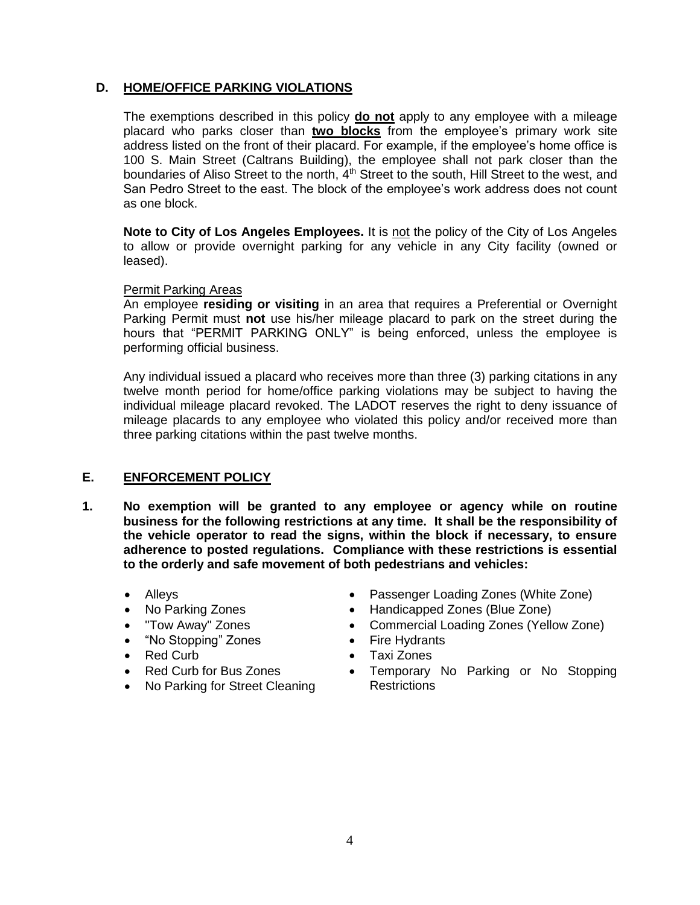### **D. HOME/OFFICE PARKING VIOLATIONS**

The exemptions described in this policy **do not** apply to any employee with a mileage placard who parks closer than **two blocks** from the employee's primary work site address listed on the front of their placard. For example, if the employee's home office is 100 S. Main Street (Caltrans Building), the employee shall not park closer than the boundaries of Aliso Street to the north, 4<sup>th</sup> Street to the south, Hill Street to the west, and San Pedro Street to the east. The block of the employee's work address does not count as one block.

Note to City of Los Angeles Employees. It is not the policy of the City of Los Angeles to allow or provide overnight parking for any vehicle in any City facility (owned or leased).

#### Permit Parking Areas

An employee **residing or visiting** in an area that requires a Preferential or Overnight Parking Permit must **not** use his/her mileage placard to park on the street during the hours that "PERMIT PARKING ONLY" is being enforced, unless the employee is performing official business.

Any individual issued a placard who receives more than three (3) parking citations in any twelve month period for home/office parking violations may be subject to having the individual mileage placard revoked. The LADOT reserves the right to deny issuance of mileage placards to any employee who violated this policy and/or received more than three parking citations within the past twelve months.

# **E. ENFORCEMENT POLICY**

- **1. No exemption will be granted to any employee or agency while on routine business for the following restrictions at any time. It shall be the responsibility of the vehicle operator to read the signs, within the block if necessary, to ensure adherence to posted regulations.****Compliance with these restrictions is essential to the orderly and safe movement of both pedestrians and vehicles:**
	-
	-
	-
	- "No Stopping" Zones Fire Hydrants
	-
	- Red Curb for Bus Zones
	- No Parking for Street Cleaning
	- Alleys **Constant Community Conetains Alleys Passenger Loading Zones (White Zone)**
	- No Parking Zones Handicapped Zones (Blue Zone)
	- "Tow Away" Zones **Commercial Loading Zones (Yellow Zone)** Commercial Loading Zones (Yellow Zone)
		-
	- Red Curb **Canadian Contract Convention Convention Canadian Convention Convention Convention Convention Convention Convention Convention Convention Convention Convention Convention Convention Convention Convention Conve** 
		- Temporary No Parking or No Stopping **Restrictions**